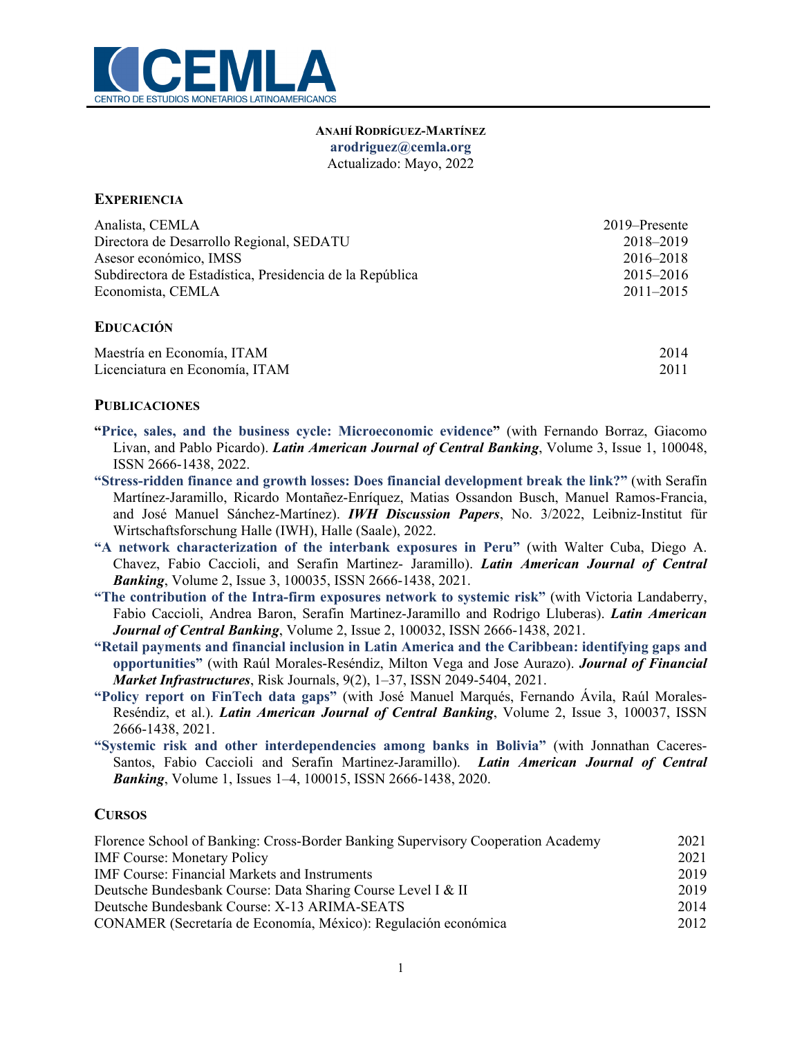

#### **ANAHÍ RODRÍGUEZ-MARTÍNEZ arodriguez@cemla.org**  Actualizado: Mayo, 2022

## **EXPERIENCIA**

| Analista, CEMLA                                          | 2019–Presente |
|----------------------------------------------------------|---------------|
| Directora de Desarrollo Regional, SEDATU                 | 2018-2019     |
| Asesor económico, IMSS                                   | 2016–2018     |
| Subdirectora de Estadística, Presidencia de la República | $2015 - 2016$ |
| Economista, CEMLA                                        | $2011 - 2015$ |
|                                                          |               |

## **EDUCACIÓN**

| Maestría en Economía, ITAM     | 2014 |
|--------------------------------|------|
| Licenciatura en Economía, ITAM | 2011 |

#### **PUBLICACIONES**

- **"Price, sales, and the business cycle: Microeconomic evidence"** (with Fernando Borraz, Giacomo Livan, and Pablo Picardo). *Latin American Journal of Central Banking*, Volume 3, Issue 1, 100048, ISSN 2666-1438, 2022.
- **"Stress-ridden finance and growth losses: Does financial development break the link?"** (with Serafín Martínez-Jaramillo, Ricardo Montañez-Enríquez, Matias Ossandon Busch, Manuel Ramos-Francia, and José Manuel Sánchez-Martínez). *IWH Discussion Papers*, No. 3/2022, Leibniz-Institut für Wirtschaftsforschung Halle (IWH), Halle (Saale), 2022.
- **"A network characterization of the interbank exposures in Peru"** (with Walter Cuba, Diego A. Chavez, Fabio Caccioli, and Serafin Martinez- Jaramillo). *Latin American Journal of Central Banking*, Volume 2, Issue 3, 100035, ISSN 2666-1438, 2021.
- **"The contribution of the Intra-firm exposures network to systemic risk"** (with Victoria Landaberry, Fabio Caccioli, Andrea Baron, Serafin Martinez-Jaramillo and Rodrigo Lluberas). *Latin American Journal of Central Banking*, Volume 2, Issue 2, 100032, ISSN 2666-1438, 2021.
- **"Retail payments and financial inclusion in Latin America and the Caribbean: identifying gaps and opportunities"** (with Raúl Morales-Reséndiz, Milton Vega and Jose Aurazo). *Journal of Financial Market Infrastructures*, Risk Journals, 9(2), 1–37, ISSN 2049-5404, 2021.
- **"Policy report on FinTech data gaps"** (with José Manuel Marqués, Fernando Ávila, Raúl Morales-Reséndiz, et al.). *Latin American Journal of Central Banking*, Volume 2, Issue 3, 100037, ISSN 2666-1438, 2021.
- **"Systemic risk and other interdependencies among banks in Bolivia"** (with Jonnathan Caceres-Santos, Fabio Caccioli and Serafin Martinez-Jaramillo). *Latin American Journal of Central Banking*, Volume 1, Issues 1–4, 100015, ISSN 2666-1438, 2020.

### **CURSOS**

| Florence School of Banking: Cross-Border Banking Supervisory Cooperation Academy |      |
|----------------------------------------------------------------------------------|------|
| <b>IMF Course: Monetary Policy</b>                                               | 2021 |
| <b>IMF Course: Financial Markets and Instruments</b>                             | 2019 |
| Deutsche Bundesbank Course: Data Sharing Course Level I & II                     | 2019 |
| Deutsche Bundesbank Course: X-13 ARIMA-SEATS                                     | 2014 |
| CONAMER (Secretaría de Economía, México): Regulación económica                   | 2012 |